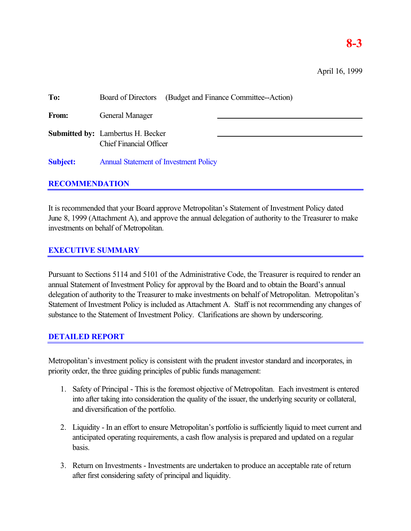| To:             | (Budget and Finance Committee--Action)<br><b>Board of Directors</b>        |
|-----------------|----------------------------------------------------------------------------|
| From:           | General Manager                                                            |
|                 | <b>Submitted by:</b> Lambertus H. Becker<br><b>Chief Financial Officer</b> |
| <b>Subject:</b> | <b>Annual Statement of Investment Policy</b>                               |

# **RECOMMENDATION**

It is recommended that your Board approve Metropolitan's Statement of Investment Policy dated June 8, 1999 (Attachment A), and approve the annual delegation of authority to the Treasurer to make investments on behalf of Metropolitan.

# **EXECUTIVE SUMMARY**

Pursuant to Sections 5114 and 5101 of the Administrative Code, the Treasurer is required to render an annual Statement of Investment Policy for approval by the Board and to obtain the Board's annual delegation of authority to the Treasurer to make investments on behalf of Metropolitan. Metropolitan's Statement of Investment Policy is included as Attachment A. Staff is not recommending any changes of substance to the Statement of Investment Policy. Clarifications are shown by underscoring.

# **DETAILED REPORT**

Metropolitan's investment policy is consistent with the prudent investor standard and incorporates, in priority order, the three guiding principles of public funds management:

- 1. Safety of Principal This is the foremost objective of Metropolitan. Each investment is entered into after taking into consideration the quality of the issuer, the underlying security or collateral, and diversification of the portfolio.
- 2. Liquidity In an effort to ensure Metropolitan's portfolio is sufficiently liquid to meet current and anticipated operating requirements, a cash flow analysis is prepared and updated on a regular basis.
- 3. Return on Investments Investments are undertaken to produce an acceptable rate of return after first considering safety of principal and liquidity.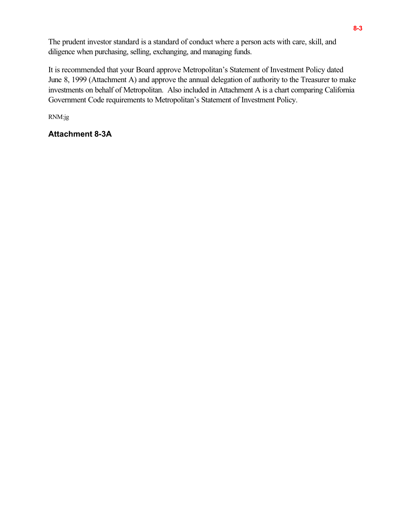The prudent investor standard is a standard of conduct where a person acts with care, skill, and diligence when purchasing, selling, exchanging, and managing funds.

It is recommended that your Board approve Metropolitan's Statement of Investment Policy dated June 8, 1999 (Attachment A) and approve the annual delegation of authority to the Treasurer to make investments on behalf of Metropolitan. Also included in Attachment A is a chart comparing California Government Code requirements to Metropolitan's Statement of Investment Policy.

RNM:jg

# **Attachment 8-3A**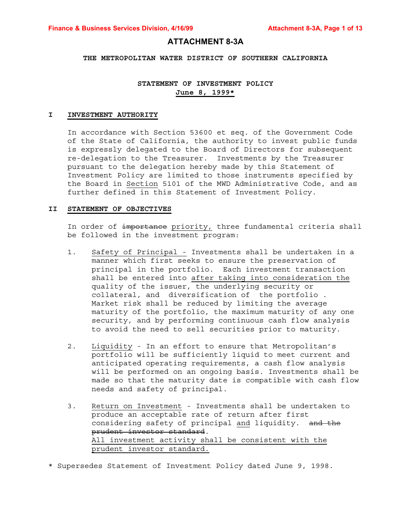# **ATTACHMENT 8-3A**

#### **THE METROPOLITAN WATER DISTRICT OF SOUTHERN CALIFORNIA**

# **STATEMENT OF INVESTMENT POLICY June 8, 1999\***

#### **I INVESTMENT AUTHORITY**

In accordance with Section 53600 et seq. of the Government Code of the State of California, the authority to invest public funds is expressly delegated to the Board of Directors for subsequent re-delegation to the Treasurer. Investments by the Treasurer pursuant to the delegation hereby made by this Statement of Investment Policy are limited to those instruments specified by the Board in Section 5101 of the MWD Administrative Code, and as further defined in this Statement of Investment Policy.

#### **II STATEMENT OF OBJECTIVES**

In order of importance priority, three fundamental criteria shall be followed in the investment program:

- 1. Safety of Principal Investments shall be undertaken in a manner which first seeks to ensure the preservation of principal in the portfolio. Each investment transaction shall be entered into after taking into consideration the quality of the issuer, the underlying security or collateral, and diversification of the portfolio . Market risk shall be reduced by limiting the average maturity of the portfolio, the maximum maturity of any one security, and by performing continuous cash flow analysis to avoid the need to sell securities prior to maturity.
- 2. Liquidity In an effort to ensure that Metropolitan's portfolio will be sufficiently liquid to meet current and anticipated operating requirements, a cash flow analysis will be performed on an ongoing basis. Investments shall be made so that the maturity date is compatible with cash flow needs and safety of principal.
- 3. Return on Investment Investments shall be undertaken to produce an acceptable rate of return after first considering safety of principal and liquidity. and the prudent investor standard. All investment activity shall be consistent with the prudent investor standard.
- \* Supersedes Statement of Investment Policy dated June 9, 1998.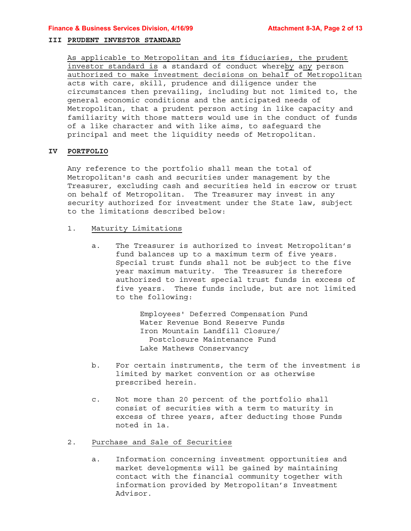### **III PRUDENT INVESTOR STANDARD**

As applicable to Metropolitan and its fiduciaries, the prudent investor standard is a standard of conduct whereby any person authorized to make investment decisions on behalf of Metropolitan acts with care, skill, prudence and diligence under the circumstances then prevailing, including but not limited to, the general economic conditions and the anticipated needs of Metropolitan, that a prudent person acting in like capacity and familiarity with those matters would use in the conduct of funds of a like character and with like aims, to safeguard the principal and meet the liquidity needs of Metropolitan.

## **IV PORTFOLIO**

Any reference to the portfolio shall mean the total of Metropolitan's cash and securities under management by the Treasurer, excluding cash and securities held in escrow or trust on behalf of Metropolitan. The Treasurer may invest in any security authorized for investment under the State law, subject to the limitations described below:

- 1. Maturity Limitations
	- a. The Treasurer is authorized to invest Metropolitan's fund balances up to a maximum term of five years. Special trust funds shall not be subject to the five year maximum maturity. The Treasurer is therefore authorized to invest special trust funds in excess of five years. These funds include, but are not limited to the following:

Employees' Deferred Compensation Fund Water Revenue Bond Reserve Funds Iron Mountain Landfill Closure/ Postclosure Maintenance Fund Lake Mathews Conservancy

- b. For certain instruments, the term of the investment is limited by market convention or as otherwise prescribed herein.
- c. Not more than 20 percent of the portfolio shall consist of securities with a term to maturity in excess of three years, after deducting those Funds noted in 1a.

# 2. Purchase and Sale of Securities

a. Information concerning investment opportunities and market developments will be gained by maintaining contact with the financial community together with information provided by Metropolitan's Investment Advisor.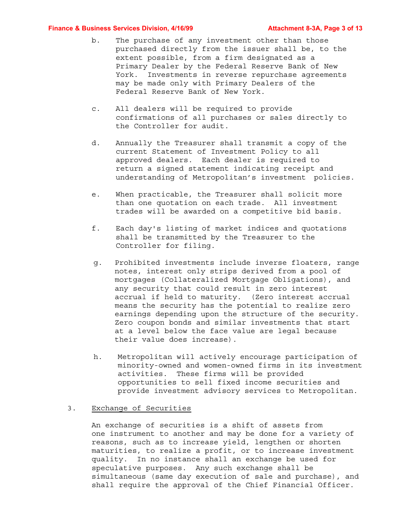#### **Finance & Business Services Division, 4/16/99 Metally Attachment 8-3A, Page 3 of 13**

- b. The purchase of any investment other than those purchased directly from the issuer shall be, to the extent possible, from a firm designated as a Primary Dealer by the Federal Reserve Bank of New York. Investments in reverse repurchase agreements may be made only with Primary Dealers of the Federal Reserve Bank of New York.
- c. All dealers will be required to provide confirmations of all purchases or sales directly to the Controller for audit.
- d. Annually the Treasurer shall transmit a copy of the current Statement of Investment Policy to all approved dealers. Each dealer is required to return a signed statement indicating receipt and understanding of Metropolitan's investment policies.
- e. When practicable, the Treasurer shall solicit more than one quotation on each trade. All investment trades will be awarded on a competitive bid basis.
- f. Each day's listing of market indices and quotations shall be transmitted by the Treasurer to the Controller for filing.
- g. Prohibited investments include inverse floaters, range notes, interest only strips derived from a pool of mortgages (Collateralized Mortgage Obligations), and any security that could result in zero interest accrual if held to maturity. (Zero interest accrual means the security has the potential to realize zero earnings depending upon the structure of the security. Zero coupon bonds and similar investments that start at a level below the face value are legal because their value does increase).
- h. Metropolitan will actively encourage participation of minority-owned and women-owned firms in its investment activities. These firms will be provided opportunities to sell fixed income securities and provide investment advisory services to Metropolitan.

#### 3. Exchange of Securities

An exchange of securities is a shift of assets from one instrument to another and may be done for a variety of reasons, such as to increase yield, lengthen or shorten maturities, to realize a profit, or to increase investment quality. In no instance shall an exchange be used for speculative purposes. Any such exchange shall be simultaneous (same day execution of sale and purchase), and shall require the approval of the Chief Financial Officer.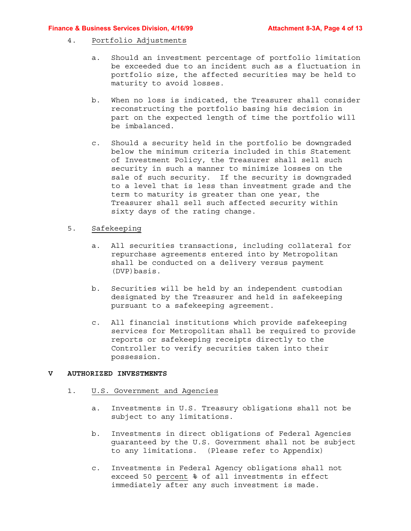#### **Finance & Business Services Division, 4/16/99 Mature 20 Attachment 8-3A, Page 4 of 13**

## 4. Portfolio Adjustments

- a. Should an investment percentage of portfolio limitation be exceeded due to an incident such as a fluctuation in portfolio size, the affected securities may be held to maturity to avoid losses.
- b. When no loss is indicated, the Treasurer shall consider reconstructing the portfolio basing his decision in part on the expected length of time the portfolio will be imbalanced.
- c. Should a security held in the portfolio be downgraded below the minimum criteria included in this Statement of Investment Policy, the Treasurer shall sell such security in such a manner to minimize losses on the sale of such security. If the security is downgraded to a level that is less than investment grade and the term to maturity is greater than one year, the Treasurer shall sell such affected security within sixty days of the rating change.

# 5. Safekeeping

- a. All securities transactions, including collateral for repurchase agreements entered into by Metropolitan shall be conducted on a delivery versus payment (DVP)basis.
- b. Securities will be held by an independent custodian designated by the Treasurer and held in safekeeping pursuant to a safekeeping agreement.
- c. All financial institutions which provide safekeeping services for Metropolitan shall be required to provide reports or safekeeping receipts directly to the Controller to verify securities taken into their possession.

## **V AUTHORIZED INVESTMENTS**

# 1. U.S. Government and Agencies

- a. Investments in U.S. Treasury obligations shall not be subject to any limitations.
- b. Investments in direct obligations of Federal Agencies guaranteed by the U.S. Government shall not be subject to any limitations. (Please refer to Appendix)
- c. Investments in Federal Agency obligations shall not exceed 50 percent % of all investments in effect immediately after any such investment is made.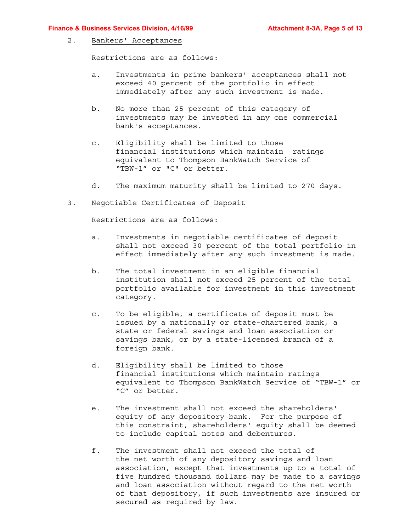#### **Finance & Business Services Division, 4/16/99 Mature 20 Attachment 8-3A, Page 5 of 13**

#### 2. Bankers' Acceptances

Restrictions are as follows:

- a. Investments in prime bankers' acceptances shall not exceed 40 percent of the portfolio in effect immediately after any such investment is made.
- b. No more than 25 percent of this category of investments may be invested in any one commercial bank's acceptances.
- c. Eligibility shall be limited to those financial institutions which maintain ratings equivalent to Thompson BankWatch Service of "TBW-1" or "C" or better.
- d. The maximum maturity shall be limited to 270 days.

# 3. Negotiable Certificates of Deposit

Restrictions are as follows:

- a. Investments in negotiable certificates of deposit shall not exceed 30 percent of the total portfolio in effect immediately after any such investment is made.
- b. The total investment in an eligible financial institution shall not exceed 25 percent of the total portfolio available for investment in this investment category.
- c. To be eligible, a certificate of deposit must be issued by a nationally or state-chartered bank, a state or federal savings and loan association or savings bank, or by a state-licensed branch of a foreign bank.
- d. Eligibility shall be limited to those financial institutions which maintain ratings equivalent to Thompson BankWatch Service of "TBW-1" or "C" or better.
- e. The investment shall not exceed the shareholders' equity of any depository bank. For the purpose of this constraint, shareholders' equity shall be deemed to include capital notes and debentures.
- f. The investment shall not exceed the total of the net worth of any depository savings and loan association, except that investments up to a total of five hundred thousand dollars may be made to a savings and loan association without regard to the net worth of that depository, if such investments are insured or secured as required by law.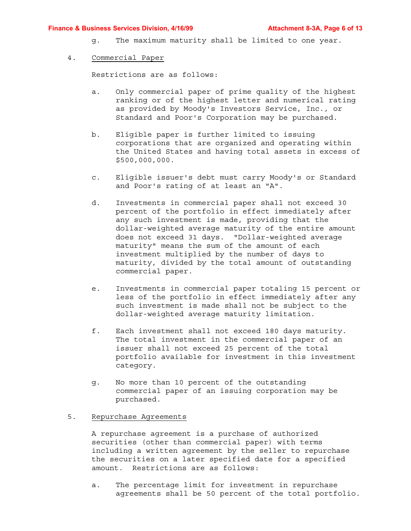#### **Finance & Business Services Division, 4/16/99 Attachment 8-3A, Page 6 of 13**

g. The maximum maturity shall be limited to one year.

### 4. Commercial Paper

Restrictions are as follows:

- a. Only commercial paper of prime quality of the highest ranking or of the highest letter and numerical rating as provided by Moody's Investors Service, Inc., or Standard and Poor's Corporation may be purchased.
- b. Eligible paper is further limited to issuing corporations that are organized and operating within the United States and having total assets in excess of \$500,000,000.
- c. Eligible issuer's debt must carry Moody's or Standard and Poor's rating of at least an "A".
- d. Investments in commercial paper shall not exceed 30 percent of the portfolio in effect immediately after any such investment is made, providing that the dollar-weighted average maturity of the entire amount does not exceed 31 days. "Dollar-weighted average maturity" means the sum of the amount of each investment multiplied by the number of days to maturity, divided by the total amount of outstanding commercial paper.
- e. Investments in commercial paper totaling 15 percent or less of the portfolio in effect immediately after any such investment is made shall not be subject to the dollar-weighted average maturity limitation.
- f. Each investment shall not exceed 180 days maturity. The total investment in the commercial paper of an issuer shall not exceed 25 percent of the total portfolio available for investment in this investment category.
- g. No more than 10 percent of the outstanding commercial paper of an issuing corporation may be purchased.

# 5. Repurchase Agreements

A repurchase agreement is a purchase of authorized securities (other than commercial paper) with terms including a written agreement by the seller to repurchase the securities on a later specified date for a specified amount. Restrictions are as follows:

a. The percentage limit for investment in repurchase agreements shall be 50 percent of the total portfolio.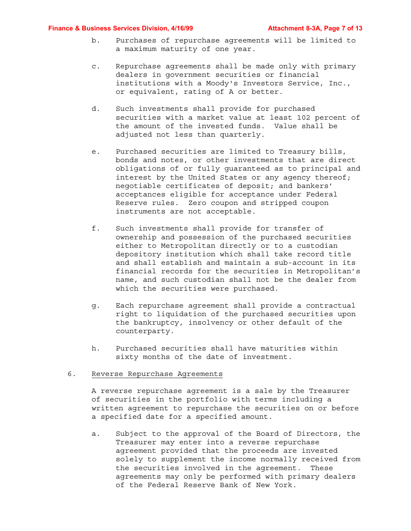#### **Finance & Business Services Division, 4/16/99 Attachment 8-3A, Page 7 of 13**

- b. Purchases of repurchase agreements will be limited to a maximum maturity of one year.
- c. Repurchase agreements shall be made only with primary dealers in government securities or financial institutions with a Moody's Investors Service, Inc., or equivalent, rating of A or better.
- d. Such investments shall provide for purchased securities with a market value at least 102 percent of the amount of the invested funds. Value shall be adjusted not less than quarterly.
- e. Purchased securities are limited to Treasury bills, bonds and notes, or other investments that are direct obligations of or fully guaranteed as to principal and interest by the United States or any agency thereof; negotiable certificates of deposit; and bankers' acceptances eligible for acceptance under Federal Reserve rules. Zero coupon and stripped coupon instruments are not acceptable.
- f. Such investments shall provide for transfer of ownership and possession of the purchased securities either to Metropolitan directly or to a custodian depository institution which shall take record title and shall establish and maintain a sub-account in its financial records for the securities in Metropolitan's name, and such custodian shall not be the dealer from which the securities were purchased.
- g. Each repurchase agreement shall provide a contractual right to liquidation of the purchased securities upon the bankruptcy, insolvency or other default of the counterparty.
- h. Purchased securities shall have maturities within sixty months of the date of investment.

#### 6. Reverse Repurchase Agreements

A reverse repurchase agreement is a sale by the Treasurer of securities in the portfolio with terms including a written agreement to repurchase the securities on or before a specified date for a specified amount.

a. Subject to the approval of the Board of Directors, the Treasurer may enter into a reverse repurchase agreement provided that the proceeds are invested solely to supplement the income normally received from the securities involved in the agreement. These agreements may only be performed with primary dealers of the Federal Reserve Bank of New York.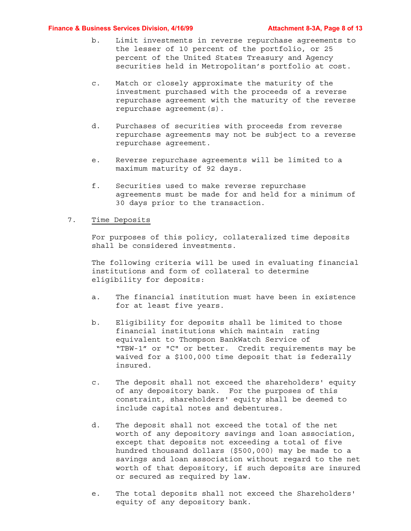#### **Finance & Business Services Division, 4/16/99 Metally Attachment 8-3A, Page 8 of 13**

- b. Limit investments in reverse repurchase agreements to the lesser of 10 percent of the portfolio, or 25 percent of the United States Treasury and Agency securities held in Metropolitan's portfolio at cost.
- c. Match or closely approximate the maturity of the investment purchased with the proceeds of a reverse repurchase agreement with the maturity of the reverse repurchase agreement(s).
- d. Purchases of securities with proceeds from reverse repurchase agreements may not be subject to a reverse repurchase agreement.
- e. Reverse repurchase agreements will be limited to a maximum maturity of 92 days.
- f. Securities used to make reverse repurchase agreements must be made for and held for a minimum of 30 days prior to the transaction.

### 7. Time Deposits

For purposes of this policy, collateralized time deposits shall be considered investments.

The following criteria will be used in evaluating financial institutions and form of collateral to determine eligibility for deposits:

- a. The financial institution must have been in existence for at least five years.
- b. Eligibility for deposits shall be limited to those financial institutions which maintain rating equivalent to Thompson BankWatch Service of "TBW-1" or "C" or better. Credit requirements may be waived for a \$100,000 time deposit that is federally insured.
- c. The deposit shall not exceed the shareholders' equity of any depository bank. For the purposes of this constraint, shareholders' equity shall be deemed to include capital notes and debentures.
- d. The deposit shall not exceed the total of the net worth of any depository savings and loan association, except that deposits not exceeding a total of five hundred thousand dollars (\$500,000) may be made to a savings and loan association without regard to the net worth of that depository, if such deposits are insured or secured as required by law.
- e. The total deposits shall not exceed the Shareholders' equity of any depository bank.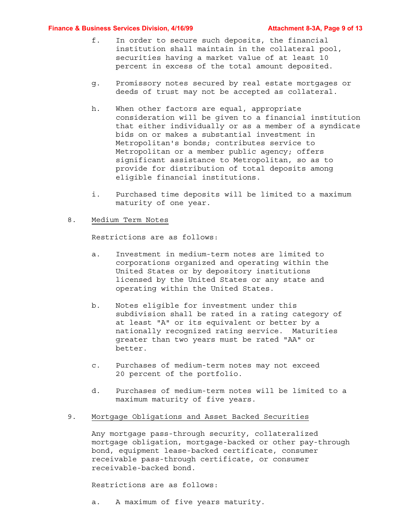#### **Finance & Business Services Division, 4/16/99 Attachment 8-3A, Page 9 of 13**

- f. In order to secure such deposits, the financial institution shall maintain in the collateral pool, securities having a market value of at least 10 percent in excess of the total amount deposited.
- g. Promissory notes secured by real estate mortgages or deeds of trust may not be accepted as collateral.
- h. When other factors are equal, appropriate consideration will be given to a financial institution that either individually or as a member of a syndicate bids on or makes a substantial investment in Metropolitan's bonds; contributes service to Metropolitan or a member public agency; offers significant assistance to Metropolitan, so as to provide for distribution of total deposits among eligible financial institutions.
- i. Purchased time deposits will be limited to a maximum maturity of one year.

#### 8. Medium Term Notes

Restrictions are as follows:

- a. Investment in medium-term notes are limited to corporations organized and operating within the United States or by depository institutions licensed by the United States or any state and operating within the United States.
- b. Notes eligible for investment under this subdivision shall be rated in a rating category of at least "A" or its equivalent or better by a nationally recognized rating service. Maturities greater than two years must be rated "AA" or better.
- c. Purchases of medium-term notes may not exceed 20 percent of the portfolio.
- d. Purchases of medium-term notes will be limited to a maximum maturity of five years.

# 9. Mortgage Obligations and Asset Backed Securities

Any mortgage pass-through security, collateralized mortgage obligation, mortgage-backed or other pay-through bond, equipment lease-backed certificate, consumer receivable pass-through certificate, or consumer receivable-backed bond.

Restrictions are as follows:

a. A maximum of five years maturity.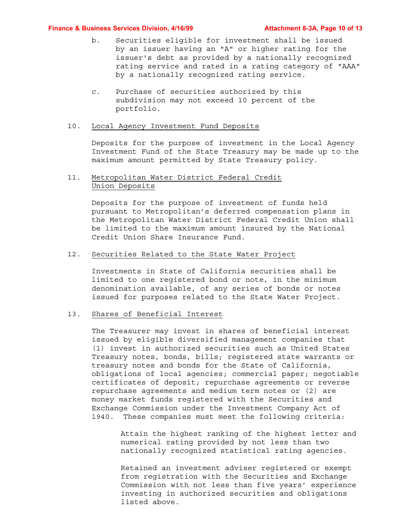#### **Finance & Business Services Division, 4/16/99 Attachment 8-3A, Page 10 of 13**

- b. Securities eligible for investment shall be issued by an issuer having an "A" or higher rating for the issuer's debt as provided by a nationally recognized rating service and rated in a rating category of "AAA" by a nationally recognized rating service.
- c. Purchase of securities authorized by this subdivision may not exceed 10 percent of the portfolio.

#### 10. Local Agency Investment Fund Deposits

Deposits for the purpose of investment in the Local Agency Investment Fund of the State Treasury may be made up to the maximum amount permitted by State Treasury policy.

# 11. Metropolitan Water District Federal Credit Union Deposits

Deposits for the purpose of investment of funds held pursuant to Metropolitan's deferred compensation plans in the Metropolitan Water District Federal Credit Union shall be limited to the maximum amount insured by the National Credit Union Share Insurance Fund.

# 12. Securities Related to the State Water Project

Investments in State of California securities shall be limited to one registered bond or note, in the minimum denomination available, of any series of bonds or notes issued for purposes related to the State Water Project.

#### 13. Shares of Beneficial Interest

The Treasurer may invest in shares of beneficial interest issued by eligible diversified management companies that (1) invest in authorized securities such as United States Treasury notes, bonds, bills; registered state warrants or treasury notes and bonds for the State of California, obligations of local agencies; commercial paper; negotiable certificates of deposit; repurchase agreements or reverse repurchase agreements and medium term notes or (2) are money market funds registered with the Securities and Exchange Commission under the Investment Company Act of 1940. These companies must meet the following criteria:

> Attain the highest ranking of the highest letter and numerical rating provided by not less than two nationally recognized statistical rating agencies.

> Retained an investment adviser registered or exempt from registration with the Securities and Exchange Commission with not less than five years' experience investing in authorized securities and obligations listed above.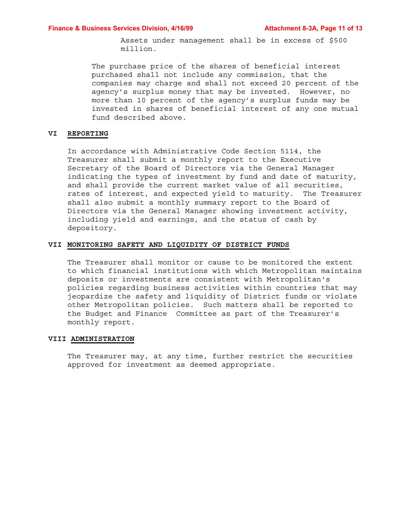Assets under management shall be in excess of \$500 million.

The purchase price of the shares of beneficial interest purchased shall not include any commission, that the companies may charge and shall not exceed 20 percent of the agency's surplus money that may be invested. However, no more than 10 percent of the agency's surplus funds may be invested in shares of beneficial interest of any one mutual fund described above.

# **VI REPORTING**

In accordance with Administrative Code Section 5114, the Treasurer shall submit a monthly report to the Executive Secretary of the Board of Directors via the General Manager indicating the types of investment by fund and date of maturity, and shall provide the current market value of all securities, rates of interest, and expected yield to maturity. The Treasurer shall also submit a monthly summary report to the Board of Directors via the General Manager showing investment activity, including yield and earnings, and the status of cash by depository.

#### **VII MONITORING SAFETY AND LIQUIDITY OF DISTRICT FUNDS**

The Treasurer shall monitor or cause to be monitored the extent to which financial institutions with which Metropolitan maintains deposits or investments are consistent with Metropolitan's policies regarding business activities within countries that may jeopardize the safety and liquidity of District funds or violate other Metropolitan policies. Such matters shall be reported to the Budget and Finance Committee as part of the Treasurer's monthly report.

#### **VIII ADMINISTRATION**

The Treasurer may, at any time, further restrict the securities approved for investment as deemed appropriate.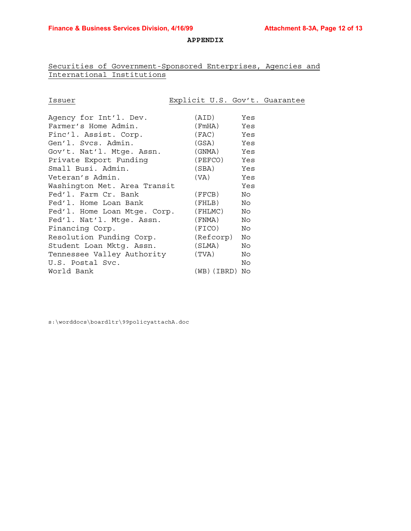## **APPENDIX**

# Securities of Government-Sponsored Enterprises, Agencies and International Institutions

| Issuer                               | Explicit U.S. Gov't. Guarantee |     |  |
|--------------------------------------|--------------------------------|-----|--|
|                                      |                                |     |  |
| Agency for Int'l. Dev.               | (AID)                          | Yes |  |
| Farmer's Home Admin.                 | (FmHA) Yes                     |     |  |
| Finc'l. Assist. Corp.                | (FAC) Yes                      |     |  |
| Gen'l. Svcs. Admin.                  | (GSA) Yes                      |     |  |
| Gov't. Nat'l. Mtge. Assn. (GNMA) Yes |                                |     |  |
| Private Export Funding               | (PEFCO) Yes                    |     |  |
| Small Busi. Admin.                   | (SBA) Yes                      |     |  |
| Veteran's Admin.                     | (VA)                           | Yes |  |
| Washington Met. Area Transit         |                                | Yes |  |
| Fed'l. Farm Cr. Bank                 | (FFCB)                         | No  |  |
| Fed'l. Home Loan Bank                | (FHLB)                         | No  |  |
| Fed'l. Home Loan Mtge. Corp. (FHLMC) |                                | No  |  |
| Fed'l. Nat'l. Mtge. Assn.            | (FNMA)                         | No  |  |
| Financing Corp.                      | (FICO)                         | No  |  |
| Resolution Funding Corp. (Refcorp)   |                                | No  |  |
| Student Loan Mktg. Assn. (SLMA)      |                                | No  |  |
| Tennessee Valley Authority (TVA)     |                                | No  |  |
| U.S. Postal Svc.                     |                                | No  |  |
| World Bank                           | (WB)(IBRD) No                  |     |  |

s:\worddocs\boardltr\99policyattachA.doc